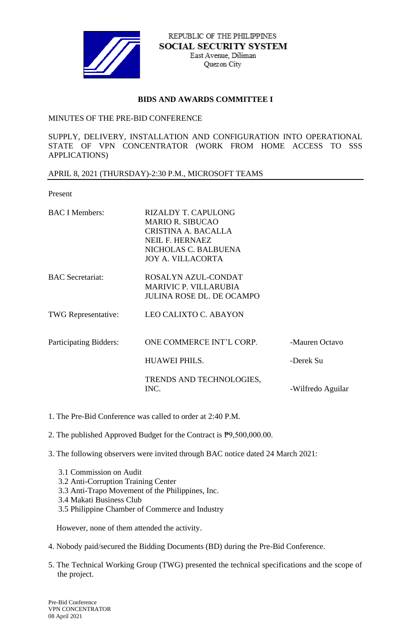

REPUBLIC OF THE PHILIPPINES **SOCIAL SECURITY SYSTEM** East Avenue, Diliman Quezon City

## **BIDS AND AWARDS COMMITTEE I**

## MINUTES OF THE PRE-BID CONFERENCE

SUPPLY, DELIVERY, INSTALLATION AND CONFIGURATION INTO OPERATIONAL STATE OF VPN CONCENTRATOR (WORK FROM HOME ACCESS TO SSS APPLICATIONS)

## APRIL 8, 2021 (THURSDAY)-2:30 P.M., MICROSOFT TEAMS

Present

| <b>BAC I Members:</b>      | <b>RIZALDY T. CAPULONG</b><br><b>MARIO R. SIBUCAO</b><br>CRISTINA A. BACALLA<br>NEIL F. HERNAEZ<br>NICHOLAS C. BALBUENA<br><b>JOY A. VILLACORTA</b> |                   |
|----------------------------|-----------------------------------------------------------------------------------------------------------------------------------------------------|-------------------|
| <b>BAC</b> Secretariat:    | ROSALYN AZUL-CONDAT<br><b>MARIVIC P. VILLARUBIA</b><br><b>JULINA ROSE DL. DE OCAMPO</b>                                                             |                   |
| <b>TWG</b> Representative: | LEO CALIXTO C. ABAYON                                                                                                                               |                   |
| Participating Bidders:     | ONE COMMERCE INT'L CORP.                                                                                                                            | -Mauren Octavo    |
|                            | <b>HUAWEI PHILS.</b>                                                                                                                                | -Derek Su         |
|                            | TRENDS AND TECHNOLOGIES,<br>INC.                                                                                                                    | -Wilfredo Aguilar |

- 1. The Pre-Bid Conference was called to order at 2:40 P.M.
- 2. The published Approved Budget for the Contract is ₱9,500,000.00.
- 3. The following observers were invited through BAC notice dated 24 March 2021:
	- 3.1 Commission on Audit
	- 3.2 Anti-Corruption Training Center
	- 3.3 Anti-Trapo Movement of the Philippines, Inc.
	- 3.4 Makati Business Club
	- 3.5 Philippine Chamber of Commerce and Industry

However, none of them attended the activity.

- 4. Nobody paid/secured the Bidding Documents (BD) during the Pre-Bid Conference.
- 5. The Technical Working Group (TWG) presented the technical specifications and the scope of the project.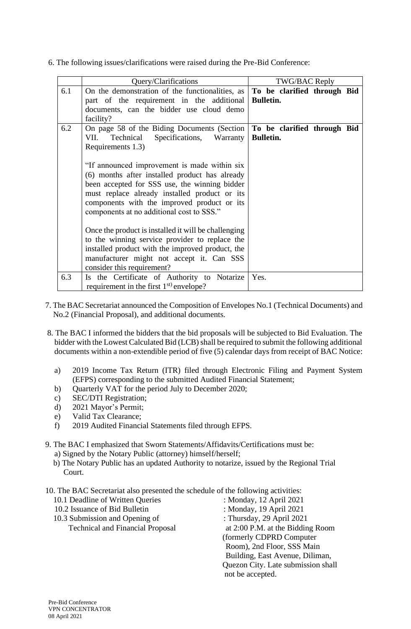6. The following issues/clarifications were raised during the Pre-Bid Conference:

|     | Query/Clarifications                                                                                                                                                                                                                                                                                                                                                                                                                                                                                                                                                                                                                                          | TWG/BAC Reply                                   |  |
|-----|---------------------------------------------------------------------------------------------------------------------------------------------------------------------------------------------------------------------------------------------------------------------------------------------------------------------------------------------------------------------------------------------------------------------------------------------------------------------------------------------------------------------------------------------------------------------------------------------------------------------------------------------------------------|-------------------------------------------------|--|
| 6.1 | On the demonstration of the functionalities, as<br>part of the requirement in the additional<br>documents, can the bidder use cloud demo<br>facility?                                                                                                                                                                                                                                                                                                                                                                                                                                                                                                         | To be clarified through Bid<br><b>Bulletin.</b> |  |
| 6.2 | On page 58 of the Biding Documents (Section<br>Specifications,<br>VII.<br>Technical<br>Warranty<br>Requirements 1.3)<br>"If announced improvement is made within six<br>(6) months after installed product has already<br>been accepted for SSS use, the winning bidder<br>must replace already installed product or its<br>components with the improved product or its<br>components at no additional cost to SSS."<br>Once the product is installed it will be challenging<br>to the winning service provider to replace the<br>installed product with the improved product, the<br>manufacturer might not accept it. Can SSS<br>consider this requirement? | To be clarified through Bid<br><b>Bulletin.</b> |  |
| 6.3 | Is the Certificate of Authority to Notarize<br>requirement in the first $1st$ envelope?                                                                                                                                                                                                                                                                                                                                                                                                                                                                                                                                                                       | Yes.                                            |  |

- 7. The BAC Secretariat announced the Composition of Envelopes No.1 (Technical Documents) and No.2 (Financial Proposal), and additional documents.
- 8. The BAC I informed the bidders that the bid proposals will be subjected to Bid Evaluation. The bidder with the Lowest Calculated Bid (LCB) shall be required to submit the following additional documents within a non-extendible period of five (5) calendar days from receipt of BAC Notice:
	- a) 2019 Income Tax Return (ITR) filed through Electronic Filing and Payment System (EFPS) corresponding to the submitted Audited Financial Statement;
	- b) Quarterly VAT for the period July to December 2020;
	- c) SEC/DTI Registration;
	- d) 2021 Mayor's Permit;
	- e) Valid Tax Clearance;

Pre-Bid Conference

08 April 2021

- f) 2019 Audited Financial Statements filed through EFPS.
- 9. The BAC I emphasized that Sworn Statements/Affidavits/Certifications must be: a) Signed by the Notary Public (attorney) himself/herself;
	- b) The Notary Public has an updated Authority to notarize, issued by the Regional Trial Court.
- 10. The BAC Secretariat also presented the schedule of the following activities:
	- 10.1 Deadline of Written Queries : Monday, 12 April 2021 10.2 Issuance of Bid Bulletin : Monday, 19 April 2021 10.3 Submission and Opening of : Thursday, 29 April 2021 Technical and Financial Proposal at 2:00 P.M. at the Bidding Room (formerly CDPRD Computer Room), 2nd Floor, SSS Main Building, East Avenue, Diliman, Quezon City. Late submission shall

not be accepted.